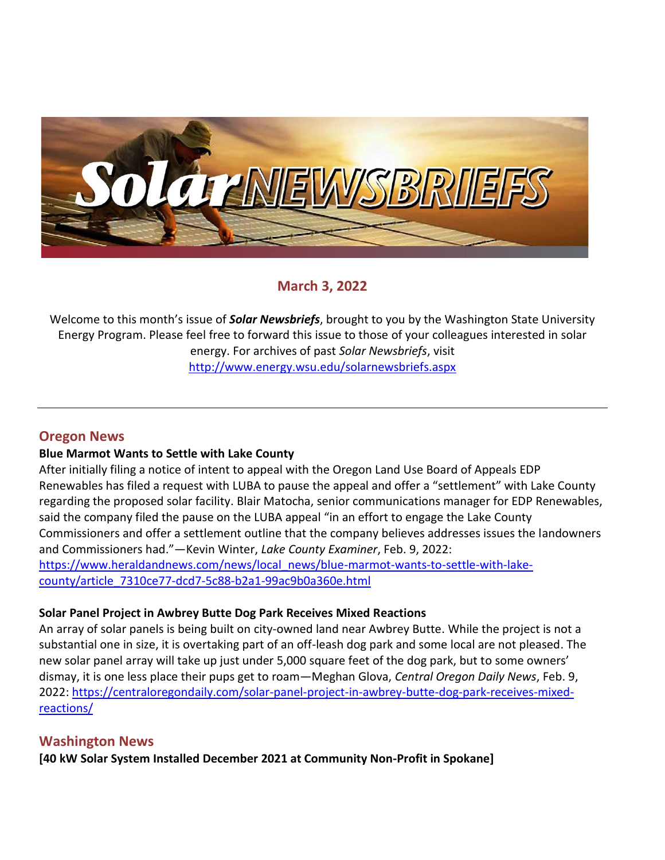

# **March 3, 2022**

Welcome to this month's issue of *Solar Newsbriefs*, brought to you by the Washington State University Energy Program. Please feel free to forward this issue to those of your colleagues interested in solar energy. For archives of past *Solar Newsbriefs*, visit <http://www.energy.wsu.edu/solarnewsbriefs.aspx>

## **Oregon News**

#### **Blue Marmot Wants to Settle with Lake County**

After initially filing a notice of intent to appeal with the Oregon Land Use Board of Appeals EDP Renewables has filed a request with LUBA to pause the appeal and offer a "settlement" with Lake County regarding the proposed solar facility. Blair Matocha, senior communications manager for EDP Renewables, said the company filed the pause on the LUBA appeal "in an effort to engage the Lake County Commissioners and offer a settlement outline that the company believes addresses issues the landowners and Commissioners had."—Kevin Winter, *Lake County Examiner*, Feb. 9, 2022: [https://www.heraldandnews.com/news/local\\_news/blue-marmot-wants-to-settle-with-lake](https://www.heraldandnews.com/news/local_news/blue-marmot-wants-to-settle-with-lake-county/article_7310ce77-dcd7-5c88-b2a1-99ac9b0a360e.html)[county/article\\_7310ce77-dcd7-5c88-b2a1-99ac9b0a360e.html](https://www.heraldandnews.com/news/local_news/blue-marmot-wants-to-settle-with-lake-county/article_7310ce77-dcd7-5c88-b2a1-99ac9b0a360e.html)

#### **Solar Panel Project in Awbrey Butte Dog Park Receives Mixed Reactions**

An array of solar panels is being built on city-owned land near Awbrey Butte. While the project is not a substantial one in size, it is overtaking part of an off-leash dog park and some local are not pleased. The new solar panel array will take up just under 5,000 square feet of the dog park, but to some owners' dismay, it is one less place their pups get to roam—Meghan Glova, *Central Oregon Daily News*, Feb. 9, 2022: [https://centraloregondaily.com/solar-panel-project-in-awbrey-butte-dog-park-receives-mixed](https://centraloregondaily.com/solar-panel-project-in-awbrey-butte-dog-park-receives-mixed-reactions/)[reactions/](https://centraloregondaily.com/solar-panel-project-in-awbrey-butte-dog-park-receives-mixed-reactions/)

## **Washington News**

**[40 kW Solar System Installed December 2021 at Community Non-Profit in Spokane]**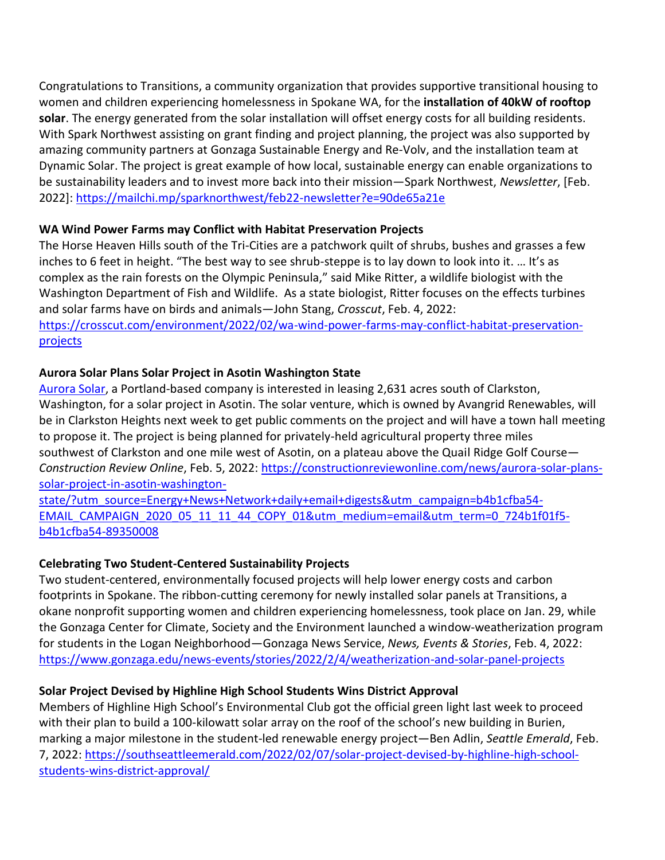Congratulations to [Transitions,](https://sparknorthwest.us6.list-manage.com/track/click?u=e5468d34bdd76aa4b87675928&id=36160bfd0f&e=90de65a21e) a community organization that provides supportive transitional housing to women and children experiencing homelessness in Spokane WA, for the **installation of 40kW of rooftop solar**. The energy generated from the solar installation will offset energy costs for all building residents. With Spark Northwest assisting on grant finding and project planning, the project was also supported by amazing community partners at [Gonzaga Sustainable Energy](https://sparknorthwest.us6.list-manage.com/track/click?u=e5468d34bdd76aa4b87675928&id=7cd1893d34&e=90de65a21e) and [Re-Volv,](https://sparknorthwest.us6.list-manage.com/track/click?u=e5468d34bdd76aa4b87675928&id=051d39d37b&e=90de65a21e) and the installation team at [Dynamic Solar.](https://sparknorthwest.us6.list-manage.com/track/click?u=e5468d34bdd76aa4b87675928&id=74449c2fad&e=90de65a21e) The project is great example of how local, sustainable energy can enable organizations to be sustainability leaders and to invest more back into their mission—Spark Northwest, *Newsletter*, [Feb. 2022]:<https://mailchi.mp/sparknorthwest/feb22-newsletter?e=90de65a21e>

### **WA Wind Power Farms may Conflict with Habitat Preservation Projects**

The Horse Heaven Hills south of the Tri-Cities are a patchwork quilt of shrubs, bushes and grasses a few inches to 6 feet in height. "The best way to see shrub-steppe is to lay down to look into it. … It's as complex as the rain forests on the Olympic Peninsula," said Mike Ritter, a wildlife biologist with the Washington Department of Fish and Wildlife. As a state biologist, Ritter focuses on the effects turbines and solar farms have on birds and animals—John Stang, *Crosscut*, Feb. 4, 2022: [https://crosscut.com/environment/2022/02/wa-wind-power-farms-may-conflict-habitat-preservation](https://crosscut.com/environment/2022/02/wa-wind-power-farms-may-conflict-habitat-preservation-projects)[projects](https://crosscut.com/environment/2022/02/wa-wind-power-farms-may-conflict-habitat-preservation-projects)

## **Aurora Solar Plans Solar Project in Asotin Washington State**

[Aurora Solar,](https://www.aurorasolar.com/) a Portland-based company is interested in leasing 2,631 acres south of Clarkston, Washington, for a solar project in Asotin. The solar venture, which is owned by Avangrid Renewables, will be in Clarkston Heights next week to get public comments on the project and will have a town hall meeting to propose it. The project is being planned for privately-held agricultural property three miles southwest of Clarkston and one mile west of Asotin, on a plateau above the Quail Ridge Golf Course— *Construction Review Online*, Feb. 5, 2022: [https://constructionreviewonline.com/news/aurora-solar-plans](https://constructionreviewonline.com/news/aurora-solar-plans-solar-project-in-asotin-washington-state/?utm_source=Energy+News+Network+daily+email+digests&utm_campaign=b4b1cfba54-EMAIL_CAMPAIGN_2020_05_11_11_44_COPY_01&utm_medium=email&utm_term=0_724b1f01f5-b4b1cfba54-89350008)[solar-project-in-asotin-washington-](https://constructionreviewonline.com/news/aurora-solar-plans-solar-project-in-asotin-washington-state/?utm_source=Energy+News+Network+daily+email+digests&utm_campaign=b4b1cfba54-EMAIL_CAMPAIGN_2020_05_11_11_44_COPY_01&utm_medium=email&utm_term=0_724b1f01f5-b4b1cfba54-89350008)

[state/?utm\\_source=Energy+News+Network+daily+email+digests&utm\\_campaign=b4b1cfba54-](https://constructionreviewonline.com/news/aurora-solar-plans-solar-project-in-asotin-washington-state/?utm_source=Energy+News+Network+daily+email+digests&utm_campaign=b4b1cfba54-EMAIL_CAMPAIGN_2020_05_11_11_44_COPY_01&utm_medium=email&utm_term=0_724b1f01f5-b4b1cfba54-89350008) [EMAIL\\_CAMPAIGN\\_2020\\_05\\_11\\_11\\_44\\_COPY\\_01&utm\\_medium=email&utm\\_term=0\\_724b1f01f5](https://constructionreviewonline.com/news/aurora-solar-plans-solar-project-in-asotin-washington-state/?utm_source=Energy+News+Network+daily+email+digests&utm_campaign=b4b1cfba54-EMAIL_CAMPAIGN_2020_05_11_11_44_COPY_01&utm_medium=email&utm_term=0_724b1f01f5-b4b1cfba54-89350008) [b4b1cfba54-89350008](https://constructionreviewonline.com/news/aurora-solar-plans-solar-project-in-asotin-washington-state/?utm_source=Energy+News+Network+daily+email+digests&utm_campaign=b4b1cfba54-EMAIL_CAMPAIGN_2020_05_11_11_44_COPY_01&utm_medium=email&utm_term=0_724b1f01f5-b4b1cfba54-89350008)

## **Celebrating Two Student-Centered Sustainability Projects**

Two student-centered, environmentally focused projects will help lower energy costs and carbon footprints in Spokane. The ribbon-cutting ceremony for newly installed solar panels at Transitions, a okane nonprofit supporting women and children experiencing homelessness, took place on Jan. 29, while the Gonzaga Center for Climate, Society and the Environment launched a window-weatherization program for students in the Logan Neighborhood—Gonzaga News Service, *News, Events & Stories*, Feb. 4, 2022: <https://www.gonzaga.edu/news-events/stories/2022/2/4/weatherization-and-solar-panel-projects>

## **Solar Project Devised by Highline High School Students Wins District Approval**

Members of Highline High School's Environmental Club got the official green light last week to proceed with their plan to build a 100-kilowatt solar array on the roof of the school's new building in Burien, marking a major milestone in the student-led renewable energy project—Ben Adlin, *Seattle Emerald*, Feb. 7, 2022: [https://southseattleemerald.com/2022/02/07/solar-project-devised-by-highline-high-school](https://southseattleemerald.com/2022/02/07/solar-project-devised-by-highline-high-school-students-wins-district-approval/)[students-wins-district-approval/](https://southseattleemerald.com/2022/02/07/solar-project-devised-by-highline-high-school-students-wins-district-approval/)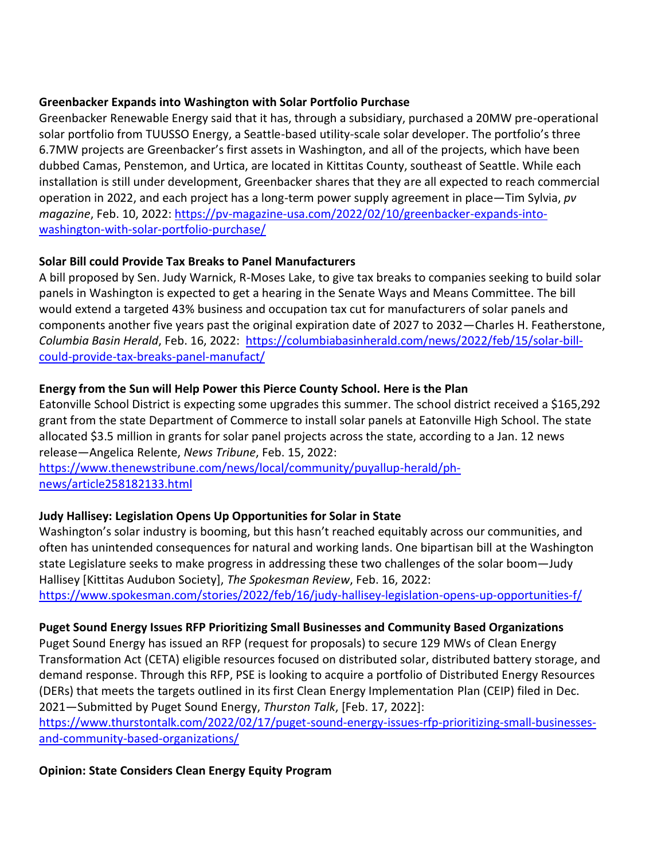#### **Greenbacker Expands into Washington with Solar Portfolio Purchase**

Greenbacker Renewable Energy said that it has, through a subsidiary, purchased a 20MW pre-operational solar portfolio from TUUSSO Energy, a Seattle-based utility-scale solar developer. The portfolio's three 6.7MW projects are Greenbacker's first assets in Washington, and all of the projects, which have been dubbed Camas, Penstemon, and Urtica, are located in Kittitas County, southeast of Seattle. While each installation is still under development, Greenbacker shares that they are all expected to reach commercial operation in 2022, and each project has a long-term power supply agreement in place—Tim Sylvia, *pv magazine*, Feb. 10, 2022: [https://pv-magazine-usa.com/2022/02/10/greenbacker-expands-into](https://pv-magazine-usa.com/2022/02/10/greenbacker-expands-into-washington-with-solar-portfolio-purchase/)[washington-with-solar-portfolio-purchase/](https://pv-magazine-usa.com/2022/02/10/greenbacker-expands-into-washington-with-solar-portfolio-purchase/)

### **Solar Bill could Provide Tax Breaks to Panel Manufacturers**

A bill proposed by Sen. Judy Warnick, R-Moses Lake, to give tax breaks to companies seeking to build solar panels in Washington is expected to get a hearing in the Senate Ways and Means Committee. The bill would extend a targeted 43% business and occupation tax cut for manufacturers of solar panels and components another five years past the original expiration date of 2027 to 2032—Charles H. Featherstone, *Columbia Basin Herald*, Feb. 16, 2022: [https://columbiabasinherald.com/news/2022/feb/15/solar-bill](https://columbiabasinherald.com/news/2022/feb/15/solar-bill-could-provide-tax-breaks-panel-manufact/)[could-provide-tax-breaks-panel-manufact/](https://columbiabasinherald.com/news/2022/feb/15/solar-bill-could-provide-tax-breaks-panel-manufact/)

## **Energy from the Sun will Help Power this Pierce County School. Here is the Plan**

Eatonville School District is expecting some upgrades this summer. The school district received a \$165,292 grant from the state Department of Commerce to install solar panels at Eatonville High School. The state allocated \$3.5 million in grants for solar panel projects across the state, according to a Jan. 12 news release—Angelica Relente, *News Tribune*, Feb. 15, 2022:

[https://www.thenewstribune.com/news/local/community/puyallup-herald/ph](https://www.thenewstribune.com/news/local/community/puyallup-herald/ph-news/article258182133.html)[news/article258182133.html](https://www.thenewstribune.com/news/local/community/puyallup-herald/ph-news/article258182133.html)

## **Judy Hallisey: Legislation Opens Up Opportunities for Solar in State**

Washington's solar industry is booming, but this hasn't reached equitably across our communities, and often has unintended consequences for natural and working lands. One bipartisan bill at the Washington state Legislature seeks to make progress in addressing these two challenges of the solar boom—Judy Hallisey [Kittitas Audubon Society], *The Spokesman Review*, Feb. 16, 2022: <https://www.spokesman.com/stories/2022/feb/16/judy-hallisey-legislation-opens-up-opportunities-f/>

#### **Puget Sound Energy Issues RFP Prioritizing Small Businesses and Community Based Organizations**

Puget Sound Energy has issued an RFP (request for proposals) to secure 129 MWs of Clean Energy Transformation Act (CETA) eligible resources focused on distributed solar, distributed battery storage, and demand response. Through this RFP, PSE is looking to acquire a portfolio of Distributed Energy Resources (DERs) that meets the targets outlined in its first Clean Energy Implementation Plan (CEIP) filed in Dec. 2021—Submitted by Puget Sound Energy, *Thurston Talk*, [Feb. 17, 2022]:

[https://www.thurstontalk.com/2022/02/17/puget-sound-energy-issues-rfp-prioritizing-small-businesses](https://www.thurstontalk.com/2022/02/17/puget-sound-energy-issues-rfp-prioritizing-small-businesses-and-community-based-organizations/)[and-community-based-organizations/](https://www.thurstontalk.com/2022/02/17/puget-sound-energy-issues-rfp-prioritizing-small-businesses-and-community-based-organizations/)

#### **Opinion: State Considers Clean Energy Equity Program**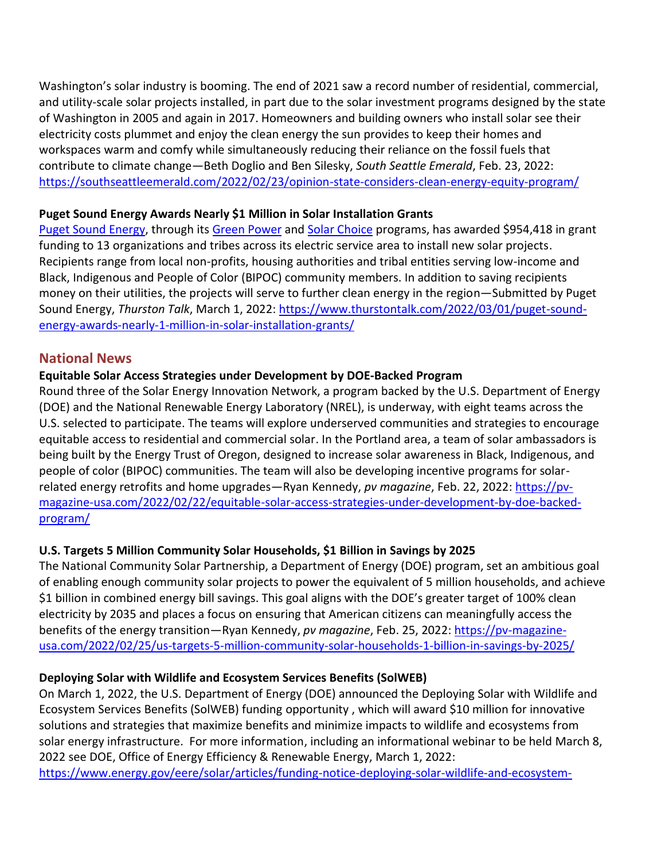Washington's solar industry is booming. The end of 2021 saw a record number of residential, commercial, and utility-scale solar projects installed, in part due to the solar investment programs designed by the state of Washington in 2005 and again in 2017. Homeowners and building owners who install solar see their electricity costs plummet and enjoy the clean energy the sun provides to keep their homes and workspaces warm and comfy while simultaneously reducing their reliance on the fossil fuels that contribute to climate change—Beth Doglio and Ben Silesky, *South Seattle Emerald*, Feb. 23, 2022: <https://southseattleemerald.com/2022/02/23/opinion-state-considers-clean-energy-equity-program/>

#### **Puget Sound Energy Awards Nearly \$1 Million in Solar Installation Grants**

[Puget Sound Energy,](https://www.pse.com/) through its [Green Power](https://www.pse.com/green-options/Renewable-Energy-Programs/green-power-for-business) and [Solar Choice](https://www.pse.com/green-options/Renewable-Energy-Programs/solar-choice) programs, has awarded \$954,418 in grant funding to 13 organizations and tribes across its electric service area to install new solar projects. Recipients range from local non-profits, housing authorities and tribal entities serving low-income and Black, Indigenous and People of Color (BIPOC) community members. In addition to saving recipients money on their utilities, the projects will serve to further clean energy in the region—Submitted by Puget Sound Energy, *Thurston Talk*, March 1, 2022: [https://www.thurstontalk.com/2022/03/01/puget-sound](https://www.thurstontalk.com/2022/03/01/puget-sound-energy-awards-nearly-1-million-in-solar-installation-grants/)[energy-awards-nearly-1-million-in-solar-installation-grants/](https://www.thurstontalk.com/2022/03/01/puget-sound-energy-awards-nearly-1-million-in-solar-installation-grants/)

## **National News**

## **Equitable Solar Access Strategies under Development by DOE-Backed Program**

Round three of the Solar Energy Innovation Network, a program backed by the U.S. Department of Energy (DOE) and the National Renewable Energy Laboratory (NREL), is underway, with eight teams across the U.S. selected to participate. The teams will explore underserved communities and strategies to encourage equitable access to residential and commercial solar. In the Portland area, a team of solar ambassadors is being built by the Energy Trust of Oregon, designed to increase solar awareness in Black, Indigenous, and people of color (BIPOC) communities. The team will also be developing incentive programs for solarrelated energy retrofits and home upgrades—Ryan Kennedy, *pv magazine*, Feb. 22, 2022: [https://pv](https://pv-magazine-usa.com/2022/02/22/equitable-solar-access-strategies-under-development-by-doe-backed-program/)[magazine-usa.com/2022/02/22/equitable-solar-access-strategies-under-development-by-doe-backed](https://pv-magazine-usa.com/2022/02/22/equitable-solar-access-strategies-under-development-by-doe-backed-program/)[program/](https://pv-magazine-usa.com/2022/02/22/equitable-solar-access-strategies-under-development-by-doe-backed-program/)

## **U.S. Targets 5 Million Community Solar Households, \$1 Billion in Savings by 2025**

The National Community Solar Partnership, a Department of Energy (DOE) program, set an ambitious goal of enabling enough community solar projects to power the equivalent of 5 million households, and achieve \$1 billion in combined energy bill savings. This goal aligns with the DOE's greater target of 100% clean electricity by 2035 and places a focus on ensuring that American citizens can meaningfully access the benefits of the energy transition—Ryan Kennedy, *pv magazine*, Feb. 25, 2022: [https://pv-magazine](https://pv-magazine-usa.com/2022/02/25/us-targets-5-million-community-solar-households-1-billion-in-savings-by-2025/)[usa.com/2022/02/25/us-targets-5-million-community-solar-households-1-billion-in-savings-by-2025/](https://pv-magazine-usa.com/2022/02/25/us-targets-5-million-community-solar-households-1-billion-in-savings-by-2025/)

## **Deploying Solar with Wildlife and Ecosystem Services Benefits (SolWEB)**

On March 1, 2022, the U.S. Department of Energy (DOE) announced the Deploying Solar with Wildlife and Ecosystem Services Benefits (SolWEB) funding opportunity , which will award \$10 million for innovative solutions and strategies that maximize benefits and minimize impacts to wildlife and ecosystems from solar energy infrastructure. For more information, including an informational webinar to be held March 8, 2022 see DOE, Office of Energy Efficiency & Renewable Energy, March 1, 2022: [https://www.energy.gov/eere/solar/articles/funding-notice-deploying-solar-wildlife-and-ecosystem-](https://www.energy.gov/eere/solar/articles/funding-notice-deploying-solar-wildlife-and-ecosystem-services-benefits-solweb)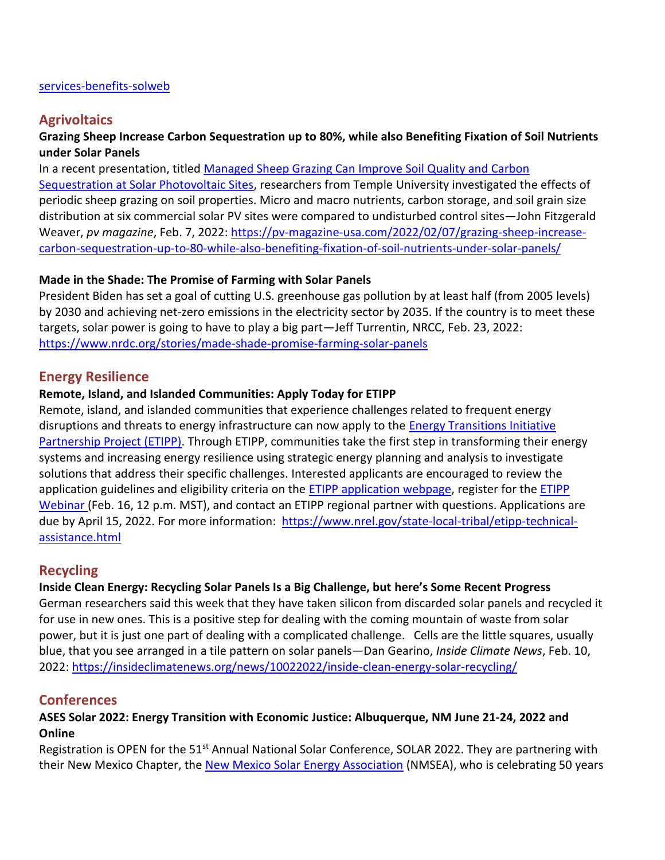#### [services-benefits-solweb](https://www.energy.gov/eere/solar/articles/funding-notice-deploying-solar-wildlife-and-ecosystem-services-benefits-solweb)

## **Agrivoltaics**

### **Grazing Sheep Increase Carbon Sequestration up to 80%, while also Benefiting Fixation of Soil Nutrients under Solar Panels**

In a recent presentation, titled [Managed Sheep Grazing Can Improve Soil Quality and Carbon](https://scholarshare.temple.edu/handle/20.500.12613/7254)  [Sequestration at Solar Photovoltaic Sites,](https://scholarshare.temple.edu/handle/20.500.12613/7254) researchers from Temple University investigated the effects of periodic sheep grazing on soil properties. Micro and macro nutrients, carbon storage, and soil grain size distribution at six commercial solar PV sites were compared to undisturbed control sites—John Fitzgerald Weaver, *pv magazine*, Feb. 7, 2022: [https://pv-magazine-usa.com/2022/02/07/grazing-sheep-increase](https://pv-magazine-usa.com/2022/02/07/grazing-sheep-increase-carbon-sequestration-up-to-80-while-also-benefiting-fixation-of-soil-nutrients-under-solar-panels/)[carbon-sequestration-up-to-80-while-also-benefiting-fixation-of-soil-nutrients-under-solar-panels/](https://pv-magazine-usa.com/2022/02/07/grazing-sheep-increase-carbon-sequestration-up-to-80-while-also-benefiting-fixation-of-soil-nutrients-under-solar-panels/)

#### **Made in the Shade: The Promise of Farming with Solar Panels**

President Biden has set a goal of cutting U.S. greenhouse gas pollution by at least half (from 2005 levels) by 2030 and achieving net-zero emissions in the electricity sector by 2035. If the country is to meet these targets, solar power is going to have to play a big part—Jeff Turrentin, NRCC, Feb. 23, 2022: <https://www.nrdc.org/stories/made-shade-promise-farming-solar-panels>

#### **Energy Resilience**

#### **Remote, Island, and Islanded Communities: Apply Today for ETIPP**

Remote, island, and islanded communities that experience challenges related to frequent energy disruptions and threats to energy infrastructure can now apply to the [Energy Transitions Initiative](https://www.nrel.gov/state-local-tribal/etipp-technical-assistance.html)  [Partnership Project \(ETIPP\).](https://www.nrel.gov/state-local-tribal/etipp-technical-assistance.html) Through ETIPP, communities take the first step in transforming their energy systems and increasing energy resilience using strategic energy planning and analysis to investigate solutions that address their specific challenges. Interested applicants are encouraged to review the application guidelines and eligibility criteria on the **ETIPP** application webpage, register for the **ETIPP** [Webinar](https://nrel.zoomgov.com/meeting/register/vJItcOqhqTkvE0PGuzKfGphV8ncUocGL_-c) (Feb. 16, 12 p.m. MST), and contact an ETIPP regional partner with questions. Applications are due by April 15, 2022. For more information: [https://www.nrel.gov/state-local-tribal/etipp-technical](https://www.nrel.gov/state-local-tribal/etipp-technical-assistance.html)[assistance.html](https://www.nrel.gov/state-local-tribal/etipp-technical-assistance.html)

## **Recycling**

#### **Inside Clean Energy: Recycling Solar Panels Is a Big Challenge, but here's Some Recent Progress**

German researchers said this week that they have taken silicon from discarded solar panels and recycled it for use in new ones. This is a positive step for dealing with the coming mountain of waste from solar power, but it is just one part of dealing with a complicated challenge. Cells are the little squares, usually blue, that you see arranged in a tile pattern on solar panels—Dan Gearino, *Inside Climate News*, Feb. 10, 2022:<https://insideclimatenews.org/news/10022022/inside-clean-energy-solar-recycling/>

#### **Conferences**

### **ASES Solar 2022: Energy Transition with Economic Justice: Albuquerque, NM June 21-24, 2022 and Online**

Registration is OPEN for the 51<sup>st</sup> Annual National Solar Conference, SOLAR 2022. They are partnering with their New Mexico Chapter, the [New Mexico Solar Energy Association](http://ases.informz.net/z/cjUucD9taT0yNDM1MDQxJnA9MSZ1PTUyMTQwNzA5NiZsaT0yNDI0NjMyNg/index.html) (NMSEA), who is celebrating 50 years